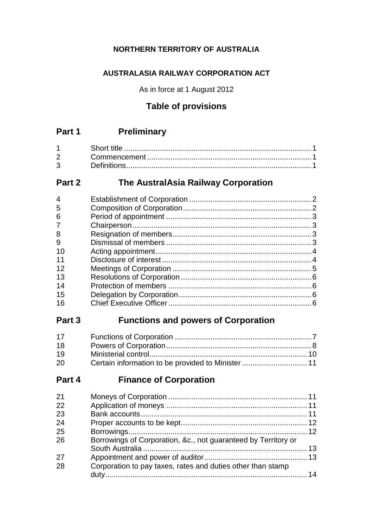## **NORTHERN TERRITORY OF AUSTRALIA**

## **AUSTRALASIA RAILWAY CORPORATION ACT**

As in force at 1 August 2012

## **Table of provisions**

# **Part 1 Preliminary**

| $2^{\sim}$ |  |
|------------|--|
| 3          |  |

# **Part 2 The AustralAsia Railway Corporation**

| 4              |  |
|----------------|--|
| 5              |  |
| 6              |  |
| $\overline{7}$ |  |
| 8              |  |
| 9              |  |
| 10             |  |
| 11             |  |
| 12             |  |
| 13             |  |
| 14             |  |
| 15             |  |
| 16             |  |
|                |  |

## **Part 3 Functions and powers of Corporation**

| 17 |  |
|----|--|
| 18 |  |
| 19 |  |
| 20 |  |

# **Part 4 Finance of Corporation**

| 21 |                                                                |  |
|----|----------------------------------------------------------------|--|
| 22 |                                                                |  |
| 23 |                                                                |  |
| 24 |                                                                |  |
| 25 |                                                                |  |
| 26 | Borrowings of Corporation, &c., not guaranteed by Territory or |  |
|    |                                                                |  |
| 27 |                                                                |  |
| 28 | Corporation to pay taxes, rates and duties other than stamp    |  |
|    |                                                                |  |
|    |                                                                |  |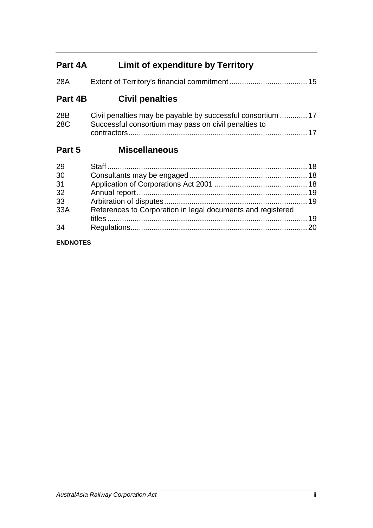# **Part 4A Limit of expenditure by Territory**

| 28A        | 15                                                                                                                  |
|------------|---------------------------------------------------------------------------------------------------------------------|
| Part 4B    | <b>Civil penalties</b>                                                                                              |
| 28B<br>28C | Civil penalties may be payable by successful consortium  17<br>Successful consortium may pass on civil penalties to |
| Part 5     | <b>Miscellaneous</b>                                                                                                |

| 29  |                                                             |  |
|-----|-------------------------------------------------------------|--|
| 30  |                                                             |  |
| 31  |                                                             |  |
| 32  |                                                             |  |
| 33  |                                                             |  |
| 33A | References to Corporation in legal documents and registered |  |
|     |                                                             |  |
| 34  |                                                             |  |
|     |                                                             |  |

#### **ENDNOTES**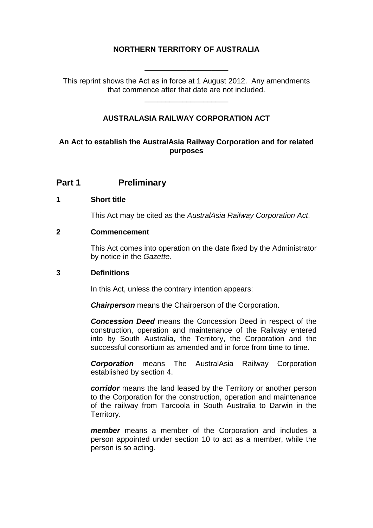### **NORTHERN TERRITORY OF AUSTRALIA**

\_\_\_\_\_\_\_\_\_\_\_\_\_\_\_\_\_\_\_\_

This reprint shows the Act as in force at 1 August 2012. Any amendments that commence after that date are not included.

\_\_\_\_\_\_\_\_\_\_\_\_\_\_\_\_\_\_\_\_

### **AUSTRALASIA RAILWAY CORPORATION ACT**

#### **An Act to establish the AustralAsia Railway Corporation and for related purposes**

## **Part 1 Preliminary**

#### **1 Short title**

This Act may be cited as the *AustralAsia Railway Corporation Act*.

#### **2 Commencement**

This Act comes into operation on the date fixed by the Administrator by notice in the *Gazette*.

#### **3 Definitions**

In this Act, unless the contrary intention appears:

*Chairperson* means the Chairperson of the Corporation.

*Concession Deed* means the Concession Deed in respect of the construction, operation and maintenance of the Railway entered into by South Australia, the Territory, the Corporation and the successful consortium as amended and in force from time to time.

*Corporation* means The AustralAsia Railway Corporation established by section 4.

*corridor* means the land leased by the Territory or another person to the Corporation for the construction, operation and maintenance of the railway from Tarcoola in South Australia to Darwin in the Territory.

*member* means a member of the Corporation and includes a person appointed under section 10 to act as a member, while the person is so acting.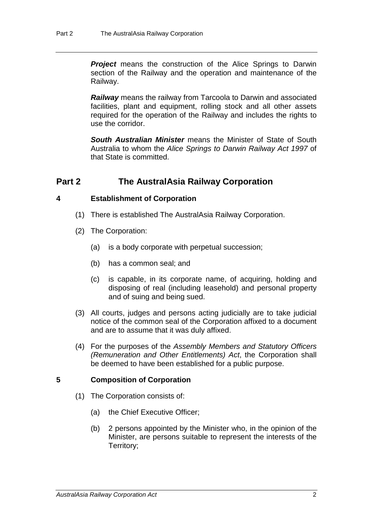**Project** means the construction of the Alice Springs to Darwin section of the Railway and the operation and maintenance of the Railway.

*Railway* means the railway from Tarcoola to Darwin and associated facilities, plant and equipment, rolling stock and all other assets required for the operation of the Railway and includes the rights to use the corridor.

*South Australian Minister* means the Minister of State of South Australia to whom the *Alice Springs to Darwin Railway Act 1997* of that State is committed.

## **Part 2 The AustralAsia Railway Corporation**

#### **4 Establishment of Corporation**

- (1) There is established The AustralAsia Railway Corporation.
- (2) The Corporation:
	- (a) is a body corporate with perpetual succession;
	- (b) has a common seal; and
	- (c) is capable, in its corporate name, of acquiring, holding and disposing of real (including leasehold) and personal property and of suing and being sued.
- (3) All courts, judges and persons acting judicially are to take judicial notice of the common seal of the Corporation affixed to a document and are to assume that it was duly affixed.
- (4) For the purposes of the *Assembly Members and Statutory Officers (Remuneration and Other Entitlements) Act*, the Corporation shall be deemed to have been established for a public purpose.

#### **5 Composition of Corporation**

- (1) The Corporation consists of:
	- (a) the Chief Executive Officer;
	- (b) 2 persons appointed by the Minister who, in the opinion of the Minister, are persons suitable to represent the interests of the Territory;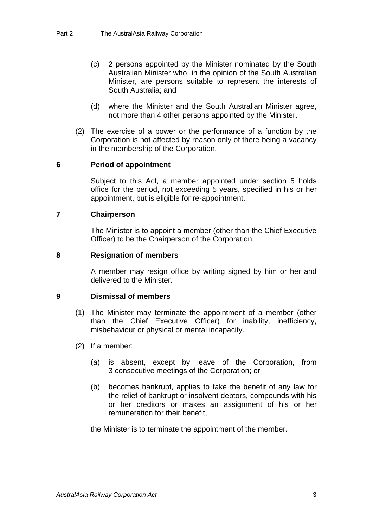- (c) 2 persons appointed by the Minister nominated by the South Australian Minister who, in the opinion of the South Australian Minister, are persons suitable to represent the interests of South Australia; and
- (d) where the Minister and the South Australian Minister agree, not more than 4 other persons appointed by the Minister.
- (2) The exercise of a power or the performance of a function by the Corporation is not affected by reason only of there being a vacancy in the membership of the Corporation.

#### **6 Period of appointment**

Subject to this Act, a member appointed under section 5 holds office for the period, not exceeding 5 years, specified in his or her appointment, but is eligible for re-appointment.

#### **7 Chairperson**

The Minister is to appoint a member (other than the Chief Executive Officer) to be the Chairperson of the Corporation.

#### **8 Resignation of members**

A member may resign office by writing signed by him or her and delivered to the Minister.

#### **9 Dismissal of members**

- (1) The Minister may terminate the appointment of a member (other than the Chief Executive Officer) for inability, inefficiency, misbehaviour or physical or mental incapacity.
- (2) If a member:
	- (a) is absent, except by leave of the Corporation, from 3 consecutive meetings of the Corporation; or
	- (b) becomes bankrupt, applies to take the benefit of any law for the relief of bankrupt or insolvent debtors, compounds with his or her creditors or makes an assignment of his or her remuneration for their benefit,

the Minister is to terminate the appointment of the member.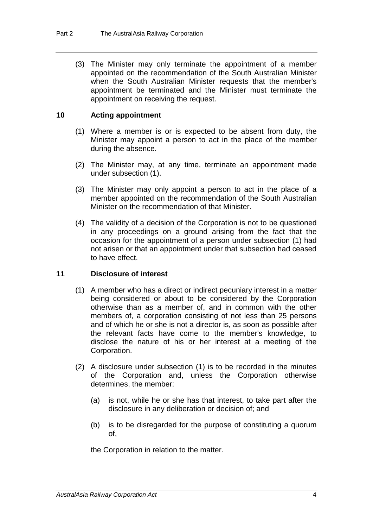(3) The Minister may only terminate the appointment of a member appointed on the recommendation of the South Australian Minister when the South Australian Minister requests that the member's appointment be terminated and the Minister must terminate the appointment on receiving the request.

#### **10 Acting appointment**

- (1) Where a member is or is expected to be absent from duty, the Minister may appoint a person to act in the place of the member during the absence.
- (2) The Minister may, at any time, terminate an appointment made under subsection (1).
- (3) The Minister may only appoint a person to act in the place of a member appointed on the recommendation of the South Australian Minister on the recommendation of that Minister.
- (4) The validity of a decision of the Corporation is not to be questioned in any proceedings on a ground arising from the fact that the occasion for the appointment of a person under subsection (1) had not arisen or that an appointment under that subsection had ceased to have effect.

#### **11 Disclosure of interest**

- (1) A member who has a direct or indirect pecuniary interest in a matter being considered or about to be considered by the Corporation otherwise than as a member of, and in common with the other members of, a corporation consisting of not less than 25 persons and of which he or she is not a director is, as soon as possible after the relevant facts have come to the member's knowledge, to disclose the nature of his or her interest at a meeting of the Corporation.
- (2) A disclosure under subsection (1) is to be recorded in the minutes of the Corporation and, unless the Corporation otherwise determines, the member:
	- (a) is not, while he or she has that interest, to take part after the disclosure in any deliberation or decision of; and
	- (b) is to be disregarded for the purpose of constituting a quorum of,

the Corporation in relation to the matter.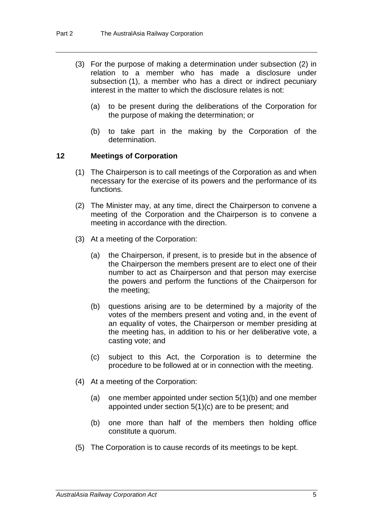- (3) For the purpose of making a determination under subsection (2) in relation to a member who has made a disclosure under subsection (1), a member who has a direct or indirect pecuniary interest in the matter to which the disclosure relates is not:
	- (a) to be present during the deliberations of the Corporation for the purpose of making the determination; or
	- (b) to take part in the making by the Corporation of the determination.

#### **12 Meetings of Corporation**

- (1) The Chairperson is to call meetings of the Corporation as and when necessary for the exercise of its powers and the performance of its functions.
- (2) The Minister may, at any time, direct the Chairperson to convene a meeting of the Corporation and the Chairperson is to convene a meeting in accordance with the direction.
- (3) At a meeting of the Corporation:
	- (a) the Chairperson, if present, is to preside but in the absence of the Chairperson the members present are to elect one of their number to act as Chairperson and that person may exercise the powers and perform the functions of the Chairperson for the meeting;
	- (b) questions arising are to be determined by a majority of the votes of the members present and voting and, in the event of an equality of votes, the Chairperson or member presiding at the meeting has, in addition to his or her deliberative vote, a casting vote; and
	- (c) subject to this Act, the Corporation is to determine the procedure to be followed at or in connection with the meeting.
- (4) At a meeting of the Corporation:
	- (a) one member appointed under section 5(1)(b) and one member appointed under section 5(1)(c) are to be present; and
	- (b) one more than half of the members then holding office constitute a quorum.
- (5) The Corporation is to cause records of its meetings to be kept.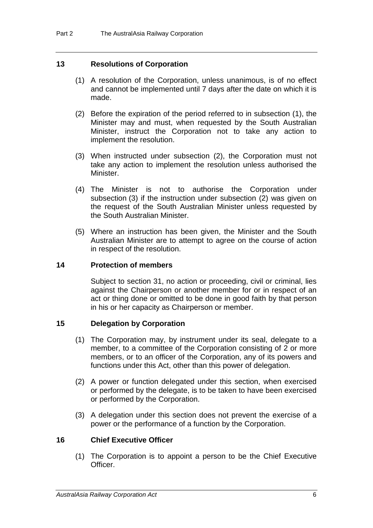#### **13 Resolutions of Corporation**

- (1) A resolution of the Corporation, unless unanimous, is of no effect and cannot be implemented until 7 days after the date on which it is made.
- (2) Before the expiration of the period referred to in subsection (1), the Minister may and must, when requested by the South Australian Minister, instruct the Corporation not to take any action to implement the resolution.
- (3) When instructed under subsection (2), the Corporation must not take any action to implement the resolution unless authorised the Minister.
- (4) The Minister is not to authorise the Corporation under subsection (3) if the instruction under subsection (2) was given on the request of the South Australian Minister unless requested by the South Australian Minister.
- (5) Where an instruction has been given, the Minister and the South Australian Minister are to attempt to agree on the course of action in respect of the resolution.

#### **14 Protection of members**

Subject to section 31, no action or proceeding, civil or criminal, lies against the Chairperson or another member for or in respect of an act or thing done or omitted to be done in good faith by that person in his or her capacity as Chairperson or member.

#### **15 Delegation by Corporation**

- (1) The Corporation may, by instrument under its seal, delegate to a member, to a committee of the Corporation consisting of 2 or more members, or to an officer of the Corporation, any of its powers and functions under this Act, other than this power of delegation.
- (2) A power or function delegated under this section, when exercised or performed by the delegate, is to be taken to have been exercised or performed by the Corporation.
- (3) A delegation under this section does not prevent the exercise of a power or the performance of a function by the Corporation.

#### **16 Chief Executive Officer**

(1) The Corporation is to appoint a person to be the Chief Executive Officer.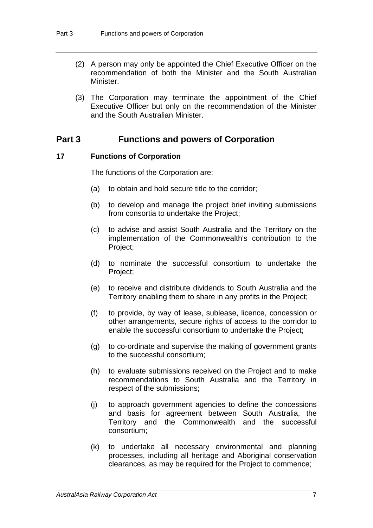- (2) A person may only be appointed the Chief Executive Officer on the recommendation of both the Minister and the South Australian **Minister**
- (3) The Corporation may terminate the appointment of the Chief Executive Officer but only on the recommendation of the Minister and the South Australian Minister.

## **Part 3 Functions and powers of Corporation**

#### **17 Functions of Corporation**

The functions of the Corporation are:

- (a) to obtain and hold secure title to the corridor;
- (b) to develop and manage the project brief inviting submissions from consortia to undertake the Project;
- (c) to advise and assist South Australia and the Territory on the implementation of the Commonwealth's contribution to the Project;
- (d) to nominate the successful consortium to undertake the Project;
- (e) to receive and distribute dividends to South Australia and the Territory enabling them to share in any profits in the Project;
- (f) to provide, by way of lease, sublease, licence, concession or other arrangements, secure rights of access to the corridor to enable the successful consortium to undertake the Project;
- (g) to co-ordinate and supervise the making of government grants to the successful consortium;
- (h) to evaluate submissions received on the Project and to make recommendations to South Australia and the Territory in respect of the submissions;
- (j) to approach government agencies to define the concessions and basis for agreement between South Australia, the Territory and the Commonwealth and the successful consortium;
- (k) to undertake all necessary environmental and planning processes, including all heritage and Aboriginal conservation clearances, as may be required for the Project to commence;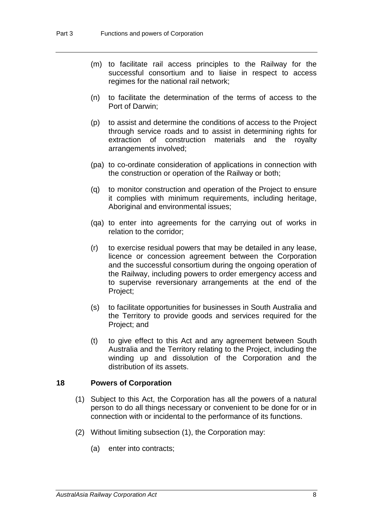- (m) to facilitate rail access principles to the Railway for the successful consortium and to liaise in respect to access regimes for the national rail network;
- (n) to facilitate the determination of the terms of access to the Port of Darwin;
- (p) to assist and determine the conditions of access to the Project through service roads and to assist in determining rights for extraction of construction materials and the royalty arrangements involved;
- (pa) to co-ordinate consideration of applications in connection with the construction or operation of the Railway or both;
- (q) to monitor construction and operation of the Project to ensure it complies with minimum requirements, including heritage, Aboriginal and environmental issues;
- (qa) to enter into agreements for the carrying out of works in relation to the corridor;
- (r) to exercise residual powers that may be detailed in any lease, licence or concession agreement between the Corporation and the successful consortium during the ongoing operation of the Railway, including powers to order emergency access and to supervise reversionary arrangements at the end of the Project;
- (s) to facilitate opportunities for businesses in South Australia and the Territory to provide goods and services required for the Project; and
- (t) to give effect to this Act and any agreement between South Australia and the Territory relating to the Project, including the winding up and dissolution of the Corporation and the distribution of its assets.

#### **18 Powers of Corporation**

- (1) Subject to this Act, the Corporation has all the powers of a natural person to do all things necessary or convenient to be done for or in connection with or incidental to the performance of its functions.
- (2) Without limiting subsection (1), the Corporation may:
	- (a) enter into contracts;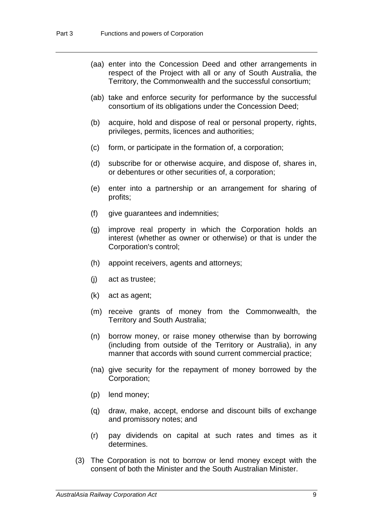- (aa) enter into the Concession Deed and other arrangements in respect of the Project with all or any of South Australia, the Territory, the Commonwealth and the successful consortium;
- (ab) take and enforce security for performance by the successful consortium of its obligations under the Concession Deed;
- (b) acquire, hold and dispose of real or personal property, rights, privileges, permits, licences and authorities;
- (c) form, or participate in the formation of, a corporation;
- (d) subscribe for or otherwise acquire, and dispose of, shares in, or debentures or other securities of, a corporation;
- (e) enter into a partnership or an arrangement for sharing of profits;
- (f) give guarantees and indemnities;
- (g) improve real property in which the Corporation holds an interest (whether as owner or otherwise) or that is under the Corporation's control;
- (h) appoint receivers, agents and attorneys;
- (j) act as trustee;
- (k) act as agent;
- (m) receive grants of money from the Commonwealth, the Territory and South Australia;
- (n) borrow money, or raise money otherwise than by borrowing (including from outside of the Territory or Australia), in any manner that accords with sound current commercial practice;
- (na) give security for the repayment of money borrowed by the Corporation;
- (p) lend money;
- (q) draw, make, accept, endorse and discount bills of exchange and promissory notes; and
- (r) pay dividends on capital at such rates and times as it determines.
- (3) The Corporation is not to borrow or lend money except with the consent of both the Minister and the South Australian Minister.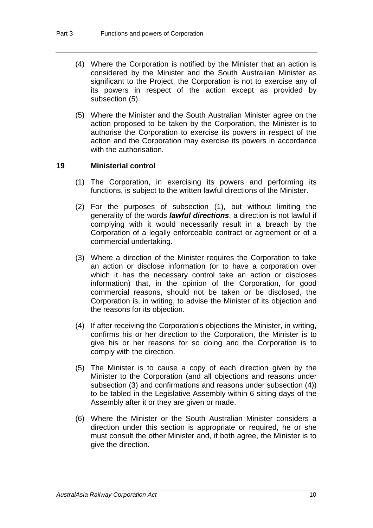- (4) Where the Corporation is notified by the Minister that an action is considered by the Minister and the South Australian Minister as significant to the Project, the Corporation is not to exercise any of its powers in respect of the action except as provided by subsection (5).
- (5) Where the Minister and the South Australian Minister agree on the action proposed to be taken by the Corporation, the Minister is to authorise the Corporation to exercise its powers in respect of the action and the Corporation may exercise its powers in accordance with the authorisation.

#### **19 Ministerial control**

- (1) The Corporation, in exercising its powers and performing its functions, is subject to the written lawful directions of the Minister.
- (2) For the purposes of subsection (1), but without limiting the generality of the words *lawful directions*, a direction is not lawful if complying with it would necessarily result in a breach by the Corporation of a legally enforceable contract or agreement or of a commercial undertaking.
- (3) Where a direction of the Minister requires the Corporation to take an action or disclose information (or to have a corporation over which it has the necessary control take an action or discloses information) that, in the opinion of the Corporation, for good commercial reasons, should not be taken or be disclosed, the Corporation is, in writing, to advise the Minister of its objection and the reasons for its objection.
- (4) If after receiving the Corporation's objections the Minister, in writing, confirms his or her direction to the Corporation, the Minister is to give his or her reasons for so doing and the Corporation is to comply with the direction.
- (5) The Minister is to cause a copy of each direction given by the Minister to the Corporation (and all objections and reasons under subsection (3) and confirmations and reasons under subsection (4)) to be tabled in the Legislative Assembly within 6 sitting days of the Assembly after it or they are given or made.
- (6) Where the Minister or the South Australian Minister considers a direction under this section is appropriate or required, he or she must consult the other Minister and, if both agree, the Minister is to give the direction.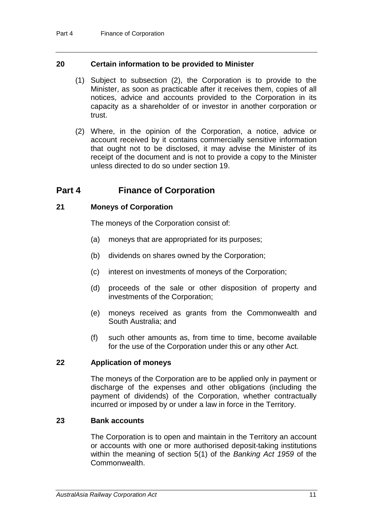#### **20 Certain information to be provided to Minister**

- (1) Subject to subsection (2), the Corporation is to provide to the Minister, as soon as practicable after it receives them, copies of all notices, advice and accounts provided to the Corporation in its capacity as a shareholder of or investor in another corporation or trust.
- (2) Where, in the opinion of the Corporation, a notice, advice or account received by it contains commercially sensitive information that ought not to be disclosed, it may advise the Minister of its receipt of the document and is not to provide a copy to the Minister unless directed to do so under section 19.

# **Part 4 Finance of Corporation**

#### **21 Moneys of Corporation**

The moneys of the Corporation consist of:

- (a) moneys that are appropriated for its purposes;
- (b) dividends on shares owned by the Corporation;
- (c) interest on investments of moneys of the Corporation;
- (d) proceeds of the sale or other disposition of property and investments of the Corporation;
- (e) moneys received as grants from the Commonwealth and South Australia; and
- (f) such other amounts as, from time to time, become available for the use of the Corporation under this or any other Act.

#### **22 Application of moneys**

The moneys of the Corporation are to be applied only in payment or discharge of the expenses and other obligations (including the payment of dividends) of the Corporation, whether contractually incurred or imposed by or under a law in force in the Territory.

#### **23 Bank accounts**

The Corporation is to open and maintain in the Territory an account or accounts with one or more authorised deposit-taking institutions within the meaning of section 5(1) of the *Banking Act 1959* of the Commonwealth.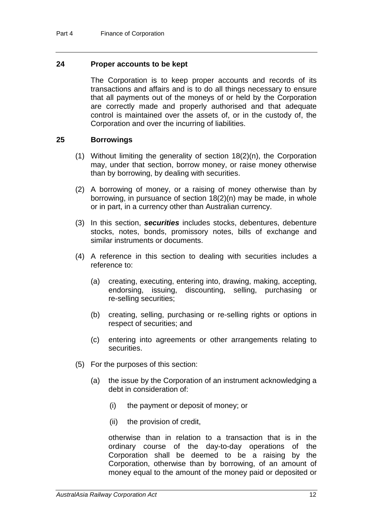#### **24 Proper accounts to be kept**

The Corporation is to keep proper accounts and records of its transactions and affairs and is to do all things necessary to ensure that all payments out of the moneys of or held by the Corporation are correctly made and properly authorised and that adequate control is maintained over the assets of, or in the custody of, the Corporation and over the incurring of liabilities.

#### **25 Borrowings**

- (1) Without limiting the generality of section 18(2)(n), the Corporation may, under that section, borrow money, or raise money otherwise than by borrowing, by dealing with securities.
- (2) A borrowing of money, or a raising of money otherwise than by borrowing, in pursuance of section 18(2)(n) may be made, in whole or in part, in a currency other than Australian currency.
- (3) In this section, *securities* includes stocks, debentures, debenture stocks, notes, bonds, promissory notes, bills of exchange and similar instruments or documents.
- (4) A reference in this section to dealing with securities includes a reference to:
	- (a) creating, executing, entering into, drawing, making, accepting, endorsing, issuing, discounting, selling, purchasing or re-selling securities;
	- (b) creating, selling, purchasing or re-selling rights or options in respect of securities; and
	- (c) entering into agreements or other arrangements relating to securities.
- (5) For the purposes of this section:
	- (a) the issue by the Corporation of an instrument acknowledging a debt in consideration of:
		- (i) the payment or deposit of money; or
		- (ii) the provision of credit,

otherwise than in relation to a transaction that is in the ordinary course of the day-to-day operations of the Corporation shall be deemed to be a raising by the Corporation, otherwise than by borrowing, of an amount of money equal to the amount of the money paid or deposited or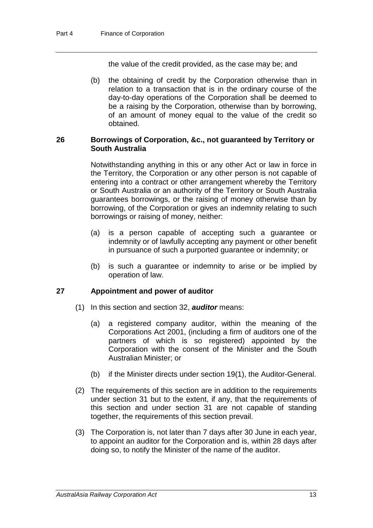the value of the credit provided, as the case may be; and

(b) the obtaining of credit by the Corporation otherwise than in relation to a transaction that is in the ordinary course of the day-to-day operations of the Corporation shall be deemed to be a raising by the Corporation, otherwise than by borrowing, of an amount of money equal to the value of the credit so obtained.

#### **26 Borrowings of Corporation, &c., not guaranteed by Territory or South Australia**

Notwithstanding anything in this or any other Act or law in force in the Territory, the Corporation or any other person is not capable of entering into a contract or other arrangement whereby the Territory or South Australia or an authority of the Territory or South Australia guarantees borrowings, or the raising of money otherwise than by borrowing, of the Corporation or gives an indemnity relating to such borrowings or raising of money, neither:

- (a) is a person capable of accepting such a guarantee or indemnity or of lawfully accepting any payment or other benefit in pursuance of such a purported guarantee or indemnity; or
- (b) is such a guarantee or indemnity to arise or be implied by operation of law.

#### **27 Appointment and power of auditor**

- (1) In this section and section 32, *auditor* means:
	- (a) a registered company auditor, within the meaning of the Corporations Act 2001, (including a firm of auditors one of the partners of which is so registered) appointed by the Corporation with the consent of the Minister and the South Australian Minister; or
	- (b) if the Minister directs under section 19(1), the Auditor-General.
- (2) The requirements of this section are in addition to the requirements under section 31 but to the extent, if any, that the requirements of this section and under section 31 are not capable of standing together, the requirements of this section prevail.
- (3) The Corporation is, not later than 7 days after 30 June in each year, to appoint an auditor for the Corporation and is, within 28 days after doing so, to notify the Minister of the name of the auditor.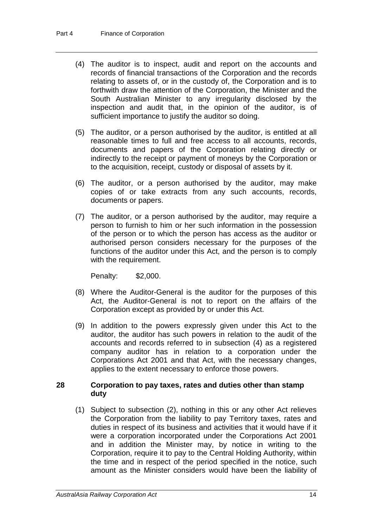- (4) The auditor is to inspect, audit and report on the accounts and records of financial transactions of the Corporation and the records relating to assets of, or in the custody of, the Corporation and is to forthwith draw the attention of the Corporation, the Minister and the South Australian Minister to any irregularity disclosed by the inspection and audit that, in the opinion of the auditor, is of sufficient importance to justify the auditor so doing.
- (5) The auditor, or a person authorised by the auditor, is entitled at all reasonable times to full and free access to all accounts, records, documents and papers of the Corporation relating directly or indirectly to the receipt or payment of moneys by the Corporation or to the acquisition, receipt, custody or disposal of assets by it.
- (6) The auditor, or a person authorised by the auditor, may make copies of or take extracts from any such accounts, records, documents or papers.
- (7) The auditor, or a person authorised by the auditor, may require a person to furnish to him or her such information in the possession of the person or to which the person has access as the auditor or authorised person considers necessary for the purposes of the functions of the auditor under this Act, and the person is to comply with the requirement.

Penalty: \$2,000.

- (8) Where the Auditor-General is the auditor for the purposes of this Act, the Auditor-General is not to report on the affairs of the Corporation except as provided by or under this Act.
- (9) In addition to the powers expressly given under this Act to the auditor, the auditor has such powers in relation to the audit of the accounts and records referred to in subsection (4) as a registered company auditor has in relation to a corporation under the Corporations Act 2001 and that Act, with the necessary changes, applies to the extent necessary to enforce those powers.

#### **28 Corporation to pay taxes, rates and duties other than stamp duty**

(1) Subject to subsection (2), nothing in this or any other Act relieves the Corporation from the liability to pay Territory taxes, rates and duties in respect of its business and activities that it would have if it were a corporation incorporated under the Corporations Act 2001 and in addition the Minister may, by notice in writing to the Corporation, require it to pay to the Central Holding Authority, within the time and in respect of the period specified in the notice, such amount as the Minister considers would have been the liability of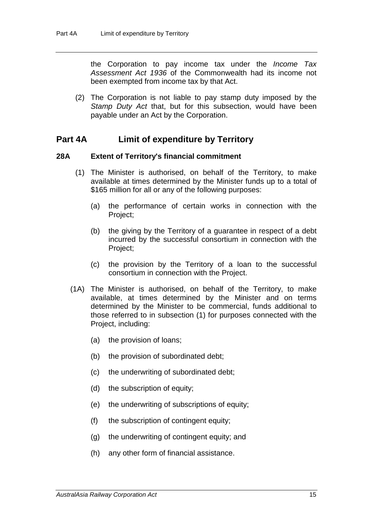the Corporation to pay income tax under the *Income Tax Assessment Act 1936* of the Commonwealth had its income not been exempted from income tax by that Act.

(2) The Corporation is not liable to pay stamp duty imposed by the *Stamp Duty Act* that, but for this subsection, would have been payable under an Act by the Corporation.

#### **Part 4A Limit of expenditure by Territory**

#### **28A Extent of Territory's financial commitment**

- (1) The Minister is authorised, on behalf of the Territory, to make available at times determined by the Minister funds up to a total of \$165 million for all or any of the following purposes:
	- (a) the performance of certain works in connection with the Project;
	- (b) the giving by the Territory of a guarantee in respect of a debt incurred by the successful consortium in connection with the Project;
	- (c) the provision by the Territory of a loan to the successful consortium in connection with the Project.
- (1A) The Minister is authorised, on behalf of the Territory, to make available, at times determined by the Minister and on terms determined by the Minister to be commercial, funds additional to those referred to in subsection (1) for purposes connected with the Project, including:
	- (a) the provision of loans;
	- (b) the provision of subordinated debt;
	- (c) the underwriting of subordinated debt;
	- (d) the subscription of equity;
	- (e) the underwriting of subscriptions of equity;
	- (f) the subscription of contingent equity;
	- (g) the underwriting of contingent equity; and
	- (h) any other form of financial assistance.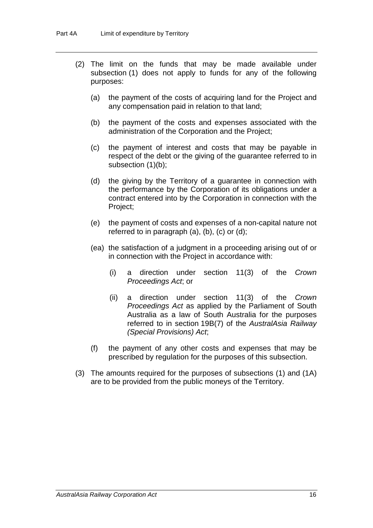- (2) The limit on the funds that may be made available under subsection (1) does not apply to funds for any of the following purposes:
	- (a) the payment of the costs of acquiring land for the Project and any compensation paid in relation to that land;
	- (b) the payment of the costs and expenses associated with the administration of the Corporation and the Project;
	- (c) the payment of interest and costs that may be payable in respect of the debt or the giving of the guarantee referred to in subsection (1)(b);
	- (d) the giving by the Territory of a guarantee in connection with the performance by the Corporation of its obligations under a contract entered into by the Corporation in connection with the Project;
	- (e) the payment of costs and expenses of a non-capital nature not referred to in paragraph (a), (b), (c) or (d);
	- (ea) the satisfaction of a judgment in a proceeding arising out of or in connection with the Project in accordance with:
		- (i) a direction under section 11(3) of the *Crown Proceedings Act*; or
		- (ii) a direction under section 11(3) of the *Crown Proceedings Act* as applied by the Parliament of South Australia as a law of South Australia for the purposes referred to in section 19B(7) of the *AustralAsia Railway (Special Provisions) Act*;
	- (f) the payment of any other costs and expenses that may be prescribed by regulation for the purposes of this subsection.
- (3) The amounts required for the purposes of subsections (1) and (1A) are to be provided from the public moneys of the Territory.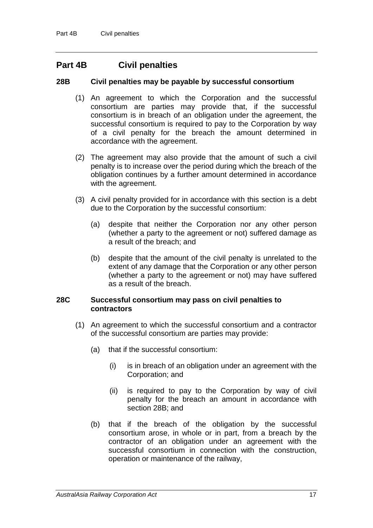## **Part 4B Civil penalties**

#### **28B Civil penalties may be payable by successful consortium**

- (1) An agreement to which the Corporation and the successful consortium are parties may provide that, if the successful consortium is in breach of an obligation under the agreement, the successful consortium is required to pay to the Corporation by way of a civil penalty for the breach the amount determined in accordance with the agreement.
- (2) The agreement may also provide that the amount of such a civil penalty is to increase over the period during which the breach of the obligation continues by a further amount determined in accordance with the agreement.
- (3) A civil penalty provided for in accordance with this section is a debt due to the Corporation by the successful consortium:
	- (a) despite that neither the Corporation nor any other person (whether a party to the agreement or not) suffered damage as a result of the breach; and
	- (b) despite that the amount of the civil penalty is unrelated to the extent of any damage that the Corporation or any other person (whether a party to the agreement or not) may have suffered as a result of the breach.

#### **28C Successful consortium may pass on civil penalties to contractors**

- (1) An agreement to which the successful consortium and a contractor of the successful consortium are parties may provide:
	- (a) that if the successful consortium:
		- (i) is in breach of an obligation under an agreement with the Corporation; and
		- (ii) is required to pay to the Corporation by way of civil penalty for the breach an amount in accordance with section 28B; and
	- (b) that if the breach of the obligation by the successful consortium arose, in whole or in part, from a breach by the contractor of an obligation under an agreement with the successful consortium in connection with the construction, operation or maintenance of the railway,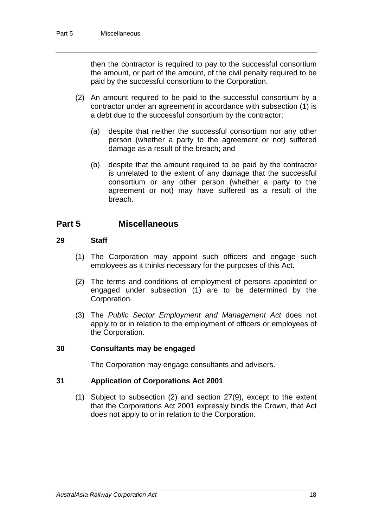then the contractor is required to pay to the successful consortium the amount, or part of the amount, of the civil penalty required to be paid by the successful consortium to the Corporation.

- (2) An amount required to be paid to the successful consortium by a contractor under an agreement in accordance with subsection (1) is a debt due to the successful consortium by the contractor:
	- (a) despite that neither the successful consortium nor any other person (whether a party to the agreement or not) suffered damage as a result of the breach; and
	- (b) despite that the amount required to be paid by the contractor is unrelated to the extent of any damage that the successful consortium or any other person (whether a party to the agreement or not) may have suffered as a result of the breach.

## **Part 5 Miscellaneous**

#### **29 Staff**

- (1) The Corporation may appoint such officers and engage such employees as it thinks necessary for the purposes of this Act.
- (2) The terms and conditions of employment of persons appointed or engaged under subsection (1) are to be determined by the Corporation.
- (3) The *Public Sector Employment and Management Act* does not apply to or in relation to the employment of officers or employees of the Corporation.

#### **30 Consultants may be engaged**

The Corporation may engage consultants and advisers.

#### **31 Application of Corporations Act 2001**

(1) Subject to subsection (2) and section 27(9), except to the extent that the Corporations Act 2001 expressly binds the Crown, that Act does not apply to or in relation to the Corporation.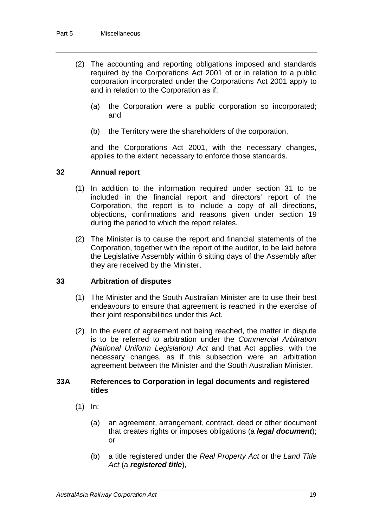- (2) The accounting and reporting obligations imposed and standards required by the Corporations Act 2001 of or in relation to a public corporation incorporated under the Corporations Act 2001 apply to and in relation to the Corporation as if:
	- (a) the Corporation were a public corporation so incorporated; and
	- (b) the Territory were the shareholders of the corporation,

and the Corporations Act 2001, with the necessary changes, applies to the extent necessary to enforce those standards.

#### **32 Annual report**

- (1) In addition to the information required under section 31 to be included in the financial report and directors' report of the Corporation, the report is to include a copy of all directions, objections, confirmations and reasons given under section 19 during the period to which the report relates.
- (2) The Minister is to cause the report and financial statements of the Corporation, together with the report of the auditor, to be laid before the Legislative Assembly within 6 sitting days of the Assembly after they are received by the Minister.

#### **33 Arbitration of disputes**

- (1) The Minister and the South Australian Minister are to use their best endeavours to ensure that agreement is reached in the exercise of their joint responsibilities under this Act.
- (2) In the event of agreement not being reached, the matter in dispute is to be referred to arbitration under the *Commercial Arbitration (National Uniform Legislation) Act* and that Act applies, with the necessary changes, as if this subsection were an arbitration agreement between the Minister and the South Australian Minister.

#### **33A References to Corporation in legal documents and registered titles**

- (1) In:
	- (a) an agreement, arrangement, contract, deed or other document that creates rights or imposes obligations (a *legal document*); or
	- (b) a title registered under the *Real Property Act* or the *Land Title Act* (a *registered title*),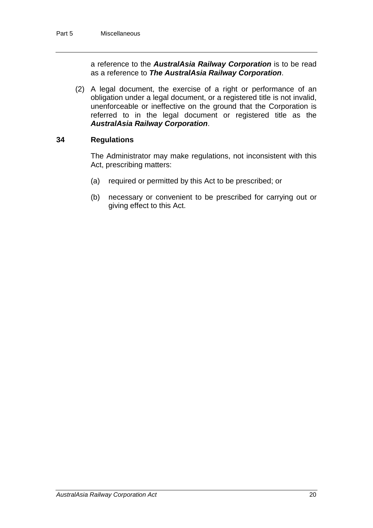a reference to the *AustralAsia Railway Corporation* is to be read as a reference to *The AustralAsia Railway Corporation*.

(2) A legal document, the exercise of a right or performance of an obligation under a legal document, or a registered title is not invalid, unenforceable or ineffective on the ground that the Corporation is referred to in the legal document or registered title as the *AustralAsia Railway Corporation*.

#### **34 Regulations**

The Administrator may make regulations, not inconsistent with this Act, prescribing matters:

- (a) required or permitted by this Act to be prescribed; or
- (b) necessary or convenient to be prescribed for carrying out or giving effect to this Act.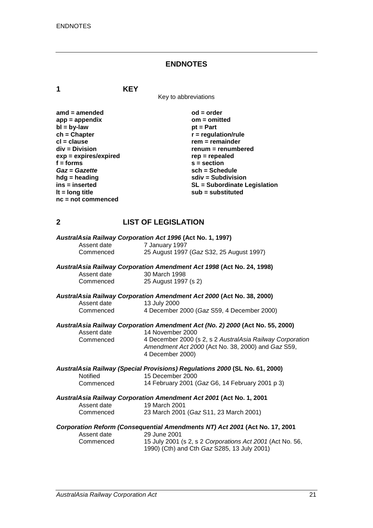## **ENDNOTES**

**1 KEY**

Key to abbreviations

| $amd = amended$         | $od = order$                        |
|-------------------------|-------------------------------------|
| $app = appendix$        | $om = omitted$                      |
| $bl = by-law$           | $pt = Part$                         |
| $ch = Chapter$          | $r =$ regulation/rule               |
| $cl = clause$           | $rem = remainder$                   |
| div = Division          | renum = renumbered                  |
| $exp = expires/expired$ | $rep = repeated$                    |
| $f =$ forms             | $s = section$                       |
| Gaz = Gazette           | $sch = Schedule$                    |
| $h dg =$ heading        | $sdiv = Subdivision$                |
| $ins = inserted$        | <b>SL = Subordinate Legislation</b> |
| It = $long$ title       | sub = substituted                   |
| $nc = not$ commenced    |                                     |

## **2 LIST OF LEGISLATION**

| Assent date     | AustralAsia Railway Corporation Act 1996 (Act No. 1, 1997)<br>7 January 1997                                                        |
|-----------------|-------------------------------------------------------------------------------------------------------------------------------------|
| Commenced       | 25 August 1997 (Gaz S32, 25 August 1997)                                                                                            |
|                 | AustralAsia Railway Corporation Amendment Act 1998 (Act No. 24, 1998)                                                               |
| Assent date     | 30 March 1998                                                                                                                       |
| Commenced       | 25 August 1997 (s 2)                                                                                                                |
|                 | AustralAsia Railway Corporation Amendment Act 2000 (Act No. 38, 2000)                                                               |
| Assent date     | 13 July 2000                                                                                                                        |
| Commenced       | 4 December 2000 (Gaz S59, 4 December 2000)                                                                                          |
|                 | AustralAsia Railway Corporation Amendment Act (No. 2) 2000 (Act No. 55, 2000)                                                       |
| Assent date     | 14 November 2000                                                                                                                    |
| Commenced       | 4 December 2000 (s 2, s 2 AustralAsia Railway Corporation<br>Amendment Act 2000 (Act No. 38, 2000) and Gaz S59,<br>4 December 2000) |
|                 | AustralAsia Railway (Special Provisions) Regulations 2000 (SL No. 61, 2000)                                                         |
| <b>Notified</b> | 15 December 2000                                                                                                                    |
| Commenced       | 14 February 2001 (Gaz G6, 14 February 2001 p 3)                                                                                     |
|                 | AustralAsia Railway Corporation Amendment Act 2001 (Act No. 1, 2001                                                                 |
| Assent date     | 19 March 2001                                                                                                                       |
| Commenced       | 23 March 2001 (Gaz S11, 23 March 2001)                                                                                              |
|                 | Corporation Reform (Consequential Amendments NT) Act 2001 (Act No. 17, 2001                                                         |
| Assent date     | 29 June 2001                                                                                                                        |
| Commenced       | 15 July 2001 (s 2, s 2 Corporations Act 2001 (Act No. 56,<br>1990) (Cth) and Cth Gaz S285, 13 July 2001)                            |